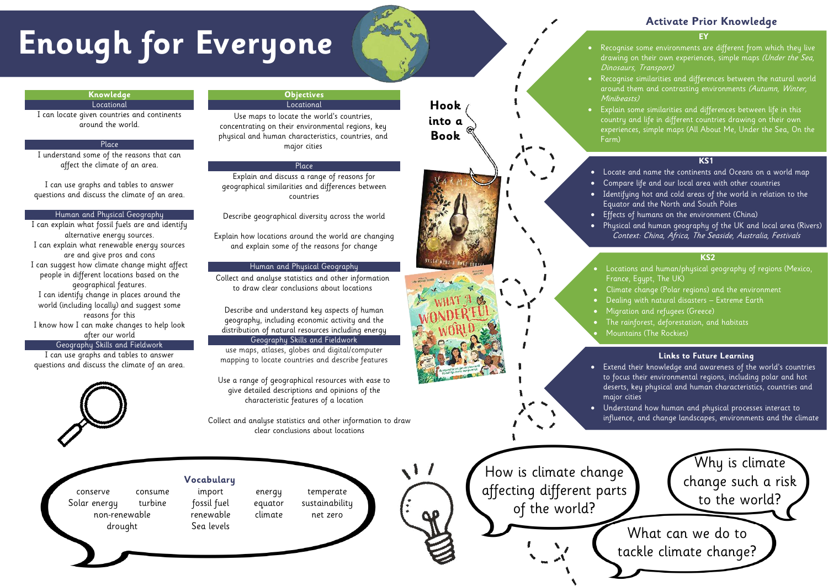- Recognise some environments are different from which they live drawing on their own experiences, simple maps (Under the Sea, Dinosaurs, Transport)
- Recognise similarities and differences between the natural world around them and contrasting environments (Autumn, Winter,
- Explain some similarities and differences between life in this
	- country and life in different countries drawing on their own
	- experiences, simple maps (All About Me, Under the Sea, On the

Minibeasts) Farm)

# **Activate Prior Knowledge**

# **KS1**

- Locate and name the continents and Oceans on a world map • Compare life and our local area with other countries
- Identifying hot and cold areas of the world in relation to the Equator and the North and South Poles
- Effects of humans on the environment (China)
- Physical and human geography of the UK and local area (Rivers) Context: China, Africa, The Seaside, Australia, Festivals

of the world?

# **KS2**

- **KS2** Locations and human/physical geography of regions (Mexico,  $\blacksquare$  France, Egypt, The UK)  $\blacksquare$
- $\bullet$   $\hbox{\sf Clim}$ ate change (Polar regions) and the environment
- Dealing with natural disasters Extreme Earth
- $\bullet$   $\quad$  Migration and refugees (Greece)  $\qquad \qquad$ 
	- The rainforest, deforestation, and habitats
	- Mountains (The Rockies)

# **Enough for Everyone**

# **Knowledge**

Locational

I can locate given countries and continents around the world.

# Place

I understand some of the reasons that can affect the climate of an area.

I can use graphs and tables to answer questions and discuss the climate of an area.

### Human and Physical Geography

I can explain what fossil fuels are and identify alternative energy sources. I can explain what renewable energy sources are and give pros and cons I can suggest how climate change might affect people in different locations based on the geographical features. I can identify change in places around the world (including locally) and suggest some reasons for this I know how I can make changes to help look after our world

## Geography Skills and Fieldwork

I can use graphs and tables to answer questions and discuss the climate of an area.



### **Objectives** Locational

Use maps to locate the world's countries, concentrating on their environmental regions, key physical and human characteristics, countries, and major cities



## Place

Explain and discuss a range of reasons for geographical similarities and differences between countries

Describe geographical diversity across the world

Explain how locations around the world are changing and explain some of the reasons for change

# Human and Physical Geography

Collect and analyse statistics and other information to draw clear conclusions about locations

Describe and understand key aspects of human geography, including economic activity and the distribution of natural resources including energy

# Geography Skills and Fieldwork

use maps, atlases, globes and digital/computer mapping to locate countries and describe features

Use a range of geographical resources with ease to give detailed descriptions and opinions of the characteristic features of a location

Collect and analyse statistics and other information to draw clear conclusions about locations



**Vocabulary**

conserve consume import energy temperate Solar energy turbine fossil fuel equator sustainability non-renewable renewable climate net zero drought Sea levels

**Hook**

**into a**

**Book**

### **Links to Future Learning**

- Extend their knowledge and awareness of the world's countries to focus their environmental regions, including polar and hot deserts, key physical and human characteristics, countries and
- Understand how human and physical processes interact to influence, and change landscapes, environments and the climate

major cities